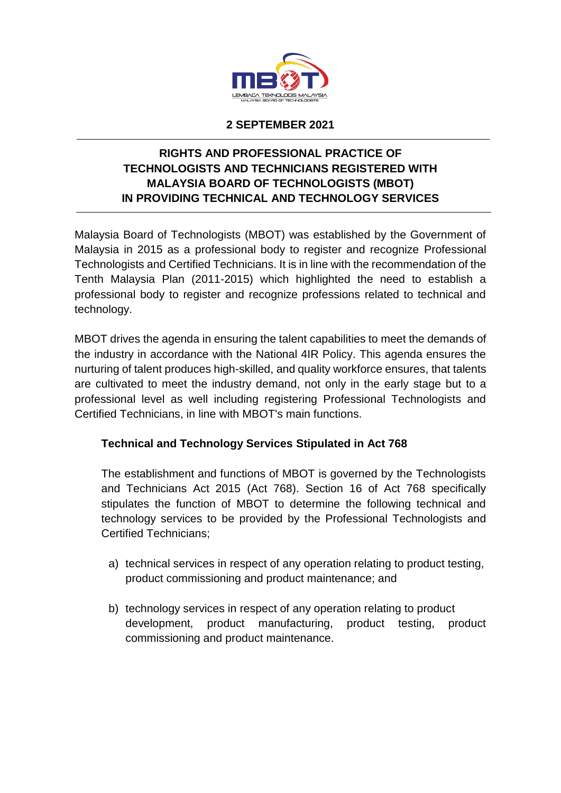

#### **2 SEPTEMBER 2021**

# **RIGHTS AND PROFESSIONAL PRACTICE OF TECHNOLOGISTS AND TECHNICIANS REGISTERED WITH MALAYSIA BOARD OF TECHNOLOGISTS (MBOT) IN PROVIDING TECHNICAL AND TECHNOLOGY SERVICES**

Malaysia Board of Technologists (MBOT) was established by the Government of Malaysia in 2015 as a professional body to register and recognize Professional Technologists and Certified Technicians. It is in line with the recommendation of the Tenth Malaysia Plan (2011-2015) which highlighted the need to establish a professional body to register and recognize professions related to technical and technology.

MBOT drives the agenda in ensuring the talent capabilities to meet the demands of the industry in accordance with the National 4IR Policy. This agenda ensures the nurturing of talent produces high-skilled, and quality workforce ensures, that talents are cultivated to meet the industry demand, not only in the early stage but to a professional level as well including registering Professional Technologists and Certified Technicians, in line with MBOT's main functions.

### **Technical and Technology Services Stipulated in Act 768**

The establishment and functions of MBOT is governed by the Technologists and Technicians Act 2015 (Act 768). Section 16 of Act 768 specifically stipulates the function of MBOT to determine the following technical and technology services to be provided by the Professional Technologists and Certified Technicians;

- a) technical services in respect of any operation relating to product testing, product commissioning and product maintenance; and
- b) technology services in respect of any operation relating to product development, product manufacturing, product testing, product commissioning and product maintenance.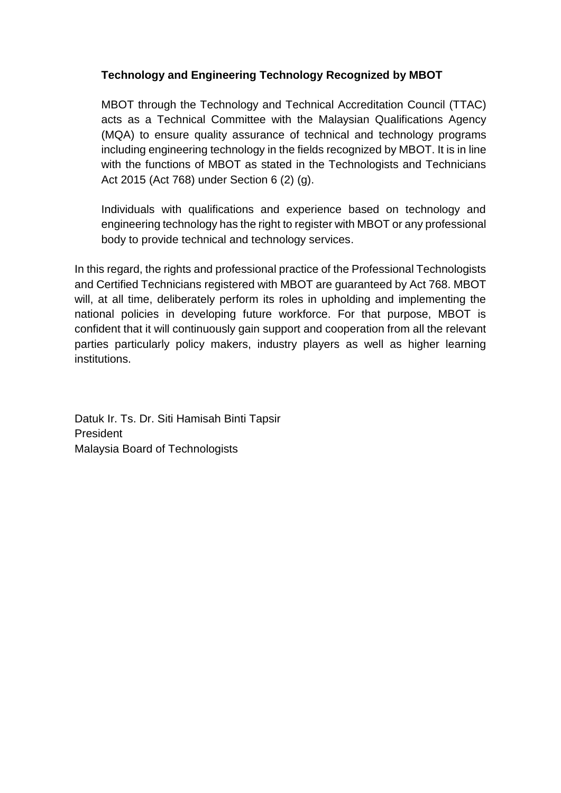## **Technology and Engineering Technology Recognized by MBOT**

MBOT through the Technology and Technical Accreditation Council (TTAC) acts as a Technical Committee with the Malaysian Qualifications Agency (MQA) to ensure quality assurance of technical and technology programs including engineering technology in the fields recognized by MBOT. It is in line with the functions of MBOT as stated in the Technologists and Technicians Act 2015 (Act 768) under Section 6 (2) (g).

Individuals with qualifications and experience based on technology and engineering technology has the right to register with MBOT or any professional body to provide technical and technology services.

In this regard, the rights and professional practice of the Professional Technologists and Certified Technicians registered with MBOT are guaranteed by Act 768. MBOT will, at all time, deliberately perform its roles in upholding and implementing the national policies in developing future workforce. For that purpose, MBOT is confident that it will continuously gain support and cooperation from all the relevant parties particularly policy makers, industry players as well as higher learning institutions.

Datuk Ir. Ts. Dr. Siti Hamisah Binti Tapsir President Malaysia Board of Technologists